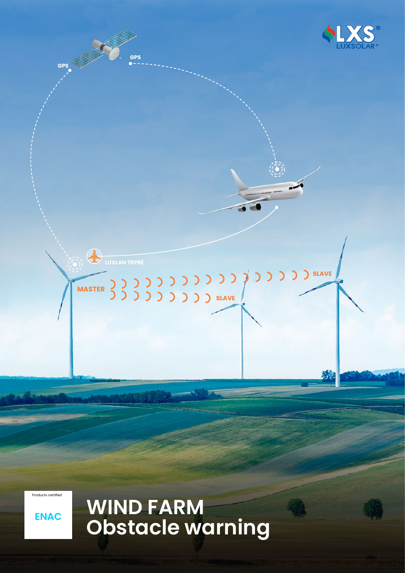

Products certified



# **ENACCORO WIND FARM<br>Cobstacle warning**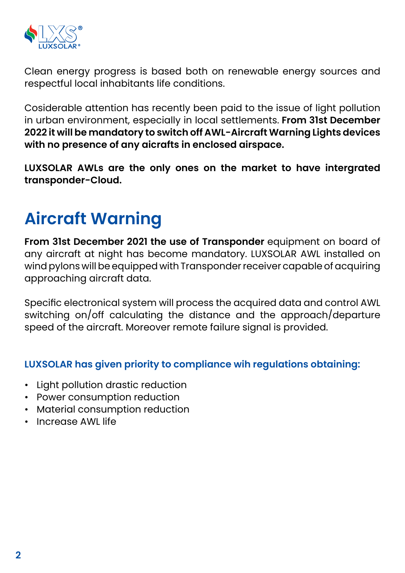

Clean energy progress is based both on renewable energy sources and respectful local inhabitants life conditions.

Cosiderable attention has recently been paid to the issue of light pollution in urban environment, especially in local settlements. **From 31st December 2022 it will be mandatory to switch off AWL-Aircraft Warning Lights devices with no presence of any aicrafts in enclosed airspace.**

**LUXSOLAR AWLs are the only ones on the market to have intergrated transponder-Cloud.**

### **Aircraft Warning**

**From 31st December 2021 the use of Transponder** equipment on board of any aircraft at night has become mandatory. LUXSOLAR AWL installed on wind pylons will be equipped with Transponder receiver capable of acquiring approaching aircraft data.

Specific electronical system will process the acquired data and control AWL switching on/off calculating the distance and the approach/departure speed of the aircraft. Moreover remote failure signal is provided.

#### **LUXSOLAR has given priority to compliance wih regulations obtaining:**

- Light pollution drastic reduction
- Power consumption reduction
- Material consumption reduction
- Increase AWL life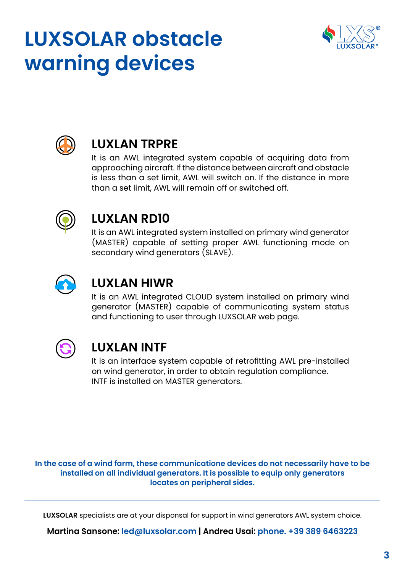## **LUXSOLAR obstacle warning devices**





#### **LUXLAN TRPRE**

It is an AWL integrated system capable of acquiring data from approaching aircraft. If the distance between aircraft and obstacle is less than a set limit, AWL will switch on. If the distance in more than a set limit, AWL will remain off or switched off.



#### **LUXLAN RD10**

It is an AWL integrated system installed on primary wind generator (MASTER) capable of setting proper AWL functioning mode on secondary wind generators (SLAVE).



#### **LUXLAN HIWR**

It is an AWL integrated CLOUD system installed on primary wind generator (MASTER) capable of communicating system status and functioning to user through LUXSOLAR web page.



#### **LUXLAN INTF**

It is an interface system capable of retrofitting AWL pre-installed on wind generator, in order to obtain regulation compliance. INTF is installed on MASTER generators.

**In the case of a wind farm, these communicatione devices do not necessarily have to be installed on all individual generators. It is possible to equip only generators locates on peripheral sides.**

**LUXSOLAR** specialists are at your disponsal for support in wind generators AWL system choice.

**Martina Sansone: led@luxsolar.com | Andrea Usai: phone. +39 389 6463223**